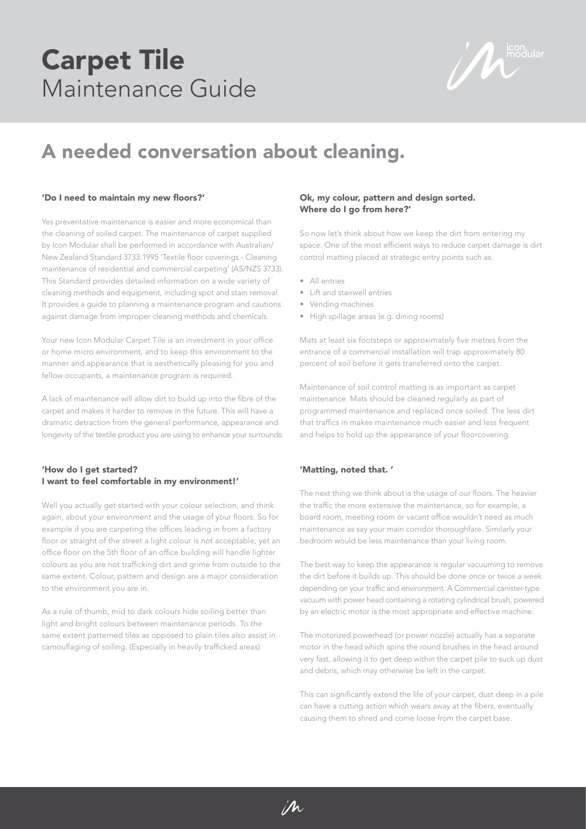## Carpet Tile Maintenance Guide

 $\sum_{\text{modular}}$ 

### A needed conversation about cleaning.

#### 'Do I need to maintain my new floors?'

Yes preventative maintenance is easier and more economical than the cleaning of soiled carpet. The maintenance of carpet supplied by Icon Modular shall be performed in accordance with Australian/ New Zealand Standard 3733:1995 'Textile floor coverings - Cleaning maintenance of residential and commercial carpeting' (AS/NZS 3733). This Standard provides detailed information on a wide variety of cleaning methods and equipment, including spot and stain removal. It provides a guide to planning a maintenance program and cautions against damage from improper cleaning methods and chemicals.

Your new Icon Modular Carpet Tile is an investment in your office or home micro environment, and to keep this environment to the manner and appearance that is aesthetically pleasing for you and fellow occupants, a maintenance program is required.

A lack of maintenance will allow dirt to build up into the fibre of the carpet and makes it harder to remove in the future. This will have a dramatic detraction from the general performance, appearance and longevity of the textile product you are using to enhance your surrounds.

### 'How do I get started? I want to feel comfortable in my environment!'

Well you actually get started with your colour selection, and think again, about your environment and the usage of your floors. So for example if you are carpeting the offices leading in from a factory floor or straight of the street a light colour is not acceptable, yet an office floor on the 5th floor of an office building will handle lighter colours as you are not trafficking dirt and grime from outside to the same extent. Colour, pattern and design are a major consideration to the environment you are in.

As a rule of thumb, mid to dark colours hide soiling better than light and bright colours between maintenance periods. To the same extent patterned tiles as opposed to plain tiles also assist in camouflaging of soiling. (Especially in heavily trafficked areas)

#### Ok, my colour, pattern and design sorted. Where do I go from here?'

So now let's think about how we keep the dirt from entering my space. One of the most efficient ways to reduce carpet damage is dirt control matting placed at strategic entry points such as.

- All entries
- Lift and stairwell entries
- Vending machines
- High spillage areas (e.g. dining rooms)

Mats at least six footsteps or approximately five metres from the entrance of a commercial installation will trap approximately 80 percent of soil before it gets transferred onto the carpet.

Maintenance of soil control matting is as important as carpet maintenance. Mats should be cleaned regularly as part of programmed maintenance and replaced once soiled. The less dirt that traffics in makes maintenance much easier and less frequent and helps to hold up the appearance of your floorcovering.

#### 'Matting, noted that. '

 $\mathcal{M}$ 

The next thing we think about is the usage of our floors. The heavier the traffic the more extensive the maintenance, so for example, a board room, meeting room or vacant office wouldn't need as much maintenance as say your main corridor thoroughfare. Similarly your bedroom would be less maintenance than your living room.

The best way to keep the appearance is regular vacuuming to remove the dirt before it builds up. This should be done once or twice a week depending on your traffic and environment. A Commercial canister-type vacuum with power head containing a rotating cylindrical brush, powered by an electric motor is the most appropriate and effective machine.

The motorized powerhead (or power nozzle) actually has a separate motor in the head which spins the round brushes in the head around very fast, allowing it to get deep within the carpet pile to suck up dust and debris, which may otherwise be left in the carpet.

This can significantly extend the life of your carpet, dust deep in a pile can have a cutting action which wears away at the fibers, eventually causing them to shred and come loose from the carpet base.